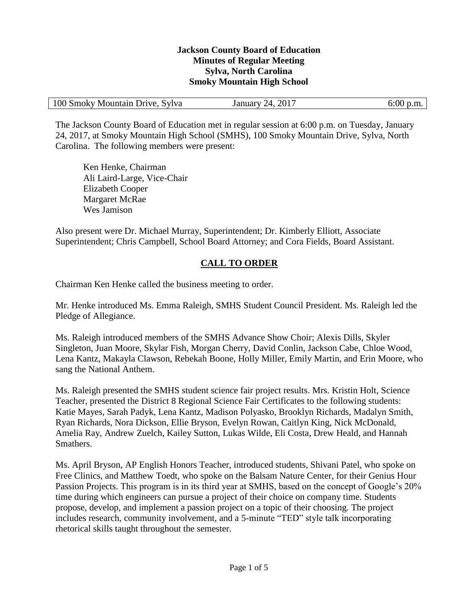#### **Jackson County Board of Education Minutes of Regular Meeting Sylva, North Carolina Smoky Mountain High School**

| 100 Smoky Mountain Drive, Sylva | January 24, 2017 | 6:00 p.m. |
|---------------------------------|------------------|-----------|
|                                 |                  |           |

The Jackson County Board of Education met in regular session at 6:00 p.m. on Tuesday, January 24, 2017, at Smoky Mountain High School (SMHS), 100 Smoky Mountain Drive, Sylva, North Carolina. The following members were present:

Ken Henke, Chairman Ali Laird-Large, Vice-Chair Elizabeth Cooper Margaret McRae Wes Jamison

Also present were Dr. Michael Murray, Superintendent; Dr. Kimberly Elliott, Associate Superintendent; Chris Campbell, School Board Attorney; and Cora Fields, Board Assistant.

### **CALL TO ORDER**

Chairman Ken Henke called the business meeting to order.

Mr. Henke introduced Ms. Emma Raleigh, SMHS Student Council President. Ms. Raleigh led the Pledge of Allegiance.

Ms. Raleigh introduced members of the SMHS Advance Show Choir; Alexis Dills, Skyler Singleton, Juan Moore, Skylar Fish, Morgan Cherry, David Conlin, Jackson Cabe, Chloe Wood, Lena Kantz, Makayla Clawson, Rebekah Boone, Holly Miller, Emily Martin, and Erin Moore, who sang the National Anthem.

Ms. Raleigh presented the SMHS student science fair project results. Mrs. Kristin Holt, Science Teacher, presented the District 8 Regional Science Fair Certificates to the following students: Katie Mayes, Sarah Padyk, Lena Kantz, Madison Polyasko, Brooklyn Richards, Madalyn Smith, Ryan Richards, Nora Dickson, Ellie Bryson, Evelyn Rowan, Caitlyn King, Nick McDonald, Amelia Ray, Andrew Zuelch, Kailey Sutton, Lukas Wilde, Eli Costa, Drew Heald, and Hannah Smathers.

Ms. April Bryson, AP English Honors Teacher, introduced students, Shivani Patel, who spoke on Free Clinics, and Matthew Toedt, who spoke on the Balsam Nature Center, for their Genius Hour Passion Projects. This program is in its third year at SMHS, based on the concept of Google's 20% time during which engineers can pursue a project of their choice on company time. Students propose, develop, and implement a passion project on a topic of their choosing. The project includes research, community involvement, and a 5-minute "TED" style talk incorporating rhetorical skills taught throughout the semester.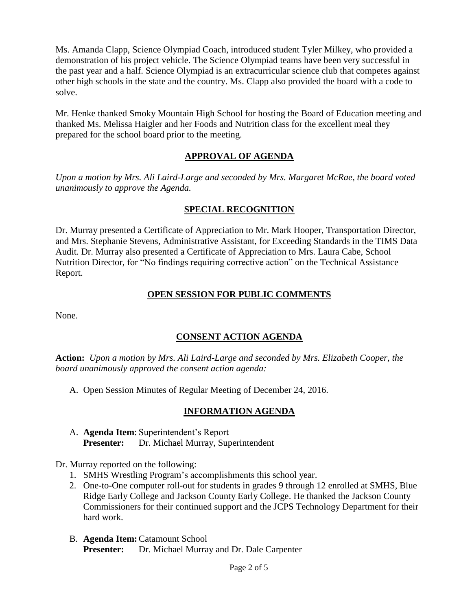Ms. Amanda Clapp, Science Olympiad Coach, introduced student Tyler Milkey, who provided a demonstration of his project vehicle. The Science Olympiad teams have been very successful in the past year and a half. Science Olympiad is an extracurricular science club that competes against other high schools in the state and the country. Ms. Clapp also provided the board with a code to solve.

Mr. Henke thanked Smoky Mountain High School for hosting the Board of Education meeting and thanked Ms. Melissa Haigler and her Foods and Nutrition class for the excellent meal they prepared for the school board prior to the meeting.

#### **APPROVAL OF AGENDA**

*Upon a motion by Mrs. Ali Laird-Large and seconded by Mrs. Margaret McRae, the board voted unanimously to approve the Agenda.*

#### **SPECIAL RECOGNITION**

Dr. Murray presented a Certificate of Appreciation to Mr. Mark Hooper, Transportation Director, and Mrs. Stephanie Stevens, Administrative Assistant, for Exceeding Standards in the TIMS Data Audit. Dr. Murray also presented a Certificate of Appreciation to Mrs. Laura Cabe, School Nutrition Director, for "No findings requiring corrective action" on the Technical Assistance Report.

#### **OPEN SESSION FOR PUBLIC COMMENTS**

None.

### **CONSENT ACTION AGENDA**

**Action:** *Upon a motion by Mrs. Ali Laird-Large and seconded by Mrs. Elizabeth Cooper, the board unanimously approved the consent action agenda:*

A. Open Session Minutes of Regular Meeting of December 24, 2016.

### **INFORMATION AGENDA**

A. **Agenda Item**: Superintendent's Report **Presenter:** Dr. Michael Murray, Superintendent

Dr. Murray reported on the following:

- 1. SMHS Wrestling Program's accomplishments this school year.
- 2. One-to-One computer roll-out for students in grades 9 through 12 enrolled at SMHS, Blue Ridge Early College and Jackson County Early College. He thanked the Jackson County Commissioners for their continued support and the JCPS Technology Department for their hard work.
- B. **Agenda Item:**Catamount School **Presenter:** Dr. Michael Murray and Dr. Dale Carpenter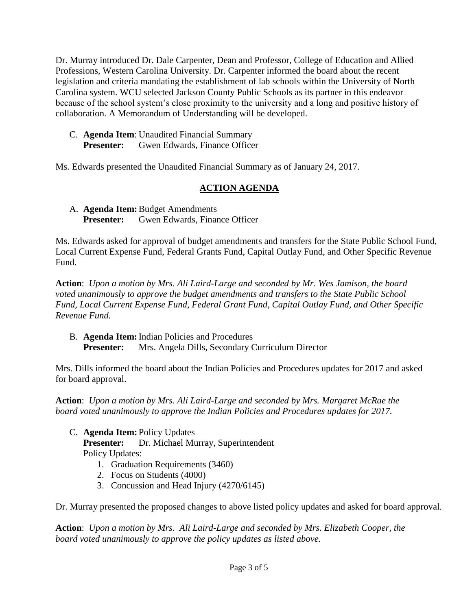Dr. Murray introduced Dr. Dale Carpenter, Dean and Professor, College of Education and Allied Professions, Western Carolina University. Dr. Carpenter informed the board about the recent legislation and criteria mandating the establishment of lab schools within the University of North Carolina system. WCU selected Jackson County Public Schools as its partner in this endeavor because of the school system's close proximity to the university and a long and positive history of collaboration. A Memorandum of Understanding will be developed.

C. **Agenda Item**: Unaudited Financial Summary **Presenter:** Gwen Edwards, Finance Officer

Ms. Edwards presented the Unaudited Financial Summary as of January 24, 2017.

## **ACTION AGENDA**

A. **Agenda Item:**Budget Amendments **Presenter:** Gwen Edwards, Finance Officer

Ms. Edwards asked for approval of budget amendments and transfers for the State Public School Fund, Local Current Expense Fund, Federal Grants Fund, Capital Outlay Fund, and Other Specific Revenue Fund.

**Action**: *Upon a motion by Mrs. Ali Laird-Large and seconded by Mr. Wes Jamison, the board voted unanimously to approve the budget amendments and transfers to the State Public School Fund, Local Current Expense Fund, Federal Grant Fund, Capital Outlay Fund, and Other Specific Revenue Fund.*

B. **Agenda Item:**Indian Policies and Procedures **Presenter:** Mrs. Angela Dills, Secondary Curriculum Director

Mrs. Dills informed the board about the Indian Policies and Procedures updates for 2017 and asked for board approval.

**Action**: *Upon a motion by Mrs. Ali Laird-Large and seconded by Mrs. Margaret McRae the board voted unanimously to approve the Indian Policies and Procedures updates for 2017.*

- C. **Agenda Item:** Policy Updates **Presenter:** Dr. Michael Murray, Superintendent Policy Updates:
	- 1. Graduation Requirements (3460)
	- 2. Focus on Students (4000)
	- 3. Concussion and Head Injury (4270/6145)

Dr. Murray presented the proposed changes to above listed policy updates and asked for board approval.

**Action**: *Upon a motion by Mrs. Ali Laird-Large and seconded by Mrs. Elizabeth Cooper, the board voted unanimously to approve the policy updates as listed above.*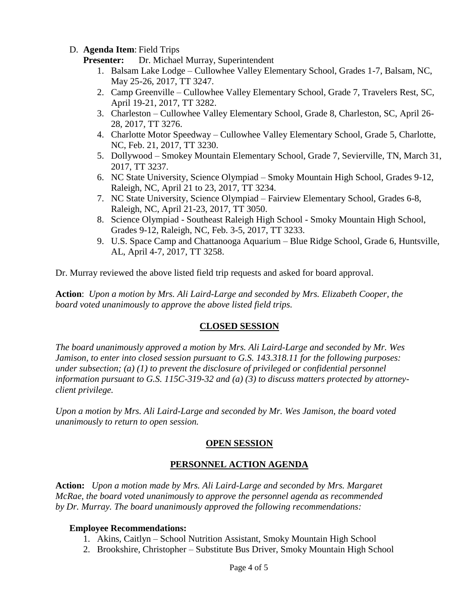#### D. **Agenda Item**: Field Trips

**Presenter:** Dr. Michael Murray, Superintendent

- 1. Balsam Lake Lodge Cullowhee Valley Elementary School, Grades 1-7, Balsam, NC, May 25-26, 2017, TT 3247.
- 2. Camp Greenville Cullowhee Valley Elementary School, Grade 7, Travelers Rest, SC, April 19-21, 2017, TT 3282.
- 3. Charleston Cullowhee Valley Elementary School, Grade 8, Charleston, SC, April 26- 28, 2017, TT 3276.
- 4. Charlotte Motor Speedway Cullowhee Valley Elementary School, Grade 5, Charlotte, NC, Feb. 21, 2017, TT 3230.
- 5. Dollywood Smokey Mountain Elementary School, Grade 7, Sevierville, TN, March 31, 2017, TT 3237.
- 6. NC State University, Science Olympiad Smoky Mountain High School, Grades 9-12, Raleigh, NC, April 21 to 23, 2017, TT 3234.
- 7. NC State University, Science Olympiad Fairview Elementary School, Grades 6-8, Raleigh, NC, April 21-23, 2017, TT 3050.
- 8. Science Olympiad Southeast Raleigh High School Smoky Mountain High School, Grades 9-12, Raleigh, NC, Feb. 3-5, 2017, TT 3233.
- 9. U.S. Space Camp and Chattanooga Aquarium Blue Ridge School, Grade 6, Huntsville, AL, April 4-7, 2017, TT 3258.

Dr. Murray reviewed the above listed field trip requests and asked for board approval.

**Action**: *Upon a motion by Mrs. Ali Laird-Large and seconded by Mrs. Elizabeth Cooper, the board voted unanimously to approve the above listed field trips.*

### **CLOSED SESSION**

*The board unanimously approved a motion by Mrs. Ali Laird-Large and seconded by Mr. Wes Jamison, to enter into closed session pursuant to G.S. 143.318.11 for the following purposes: under subsection; (a) (1) to prevent the disclosure of privileged or confidential personnel information pursuant to G.S. 115C-319-32 and (a) (3) to discuss matters protected by attorneyclient privilege.* 

*Upon a motion by Mrs. Ali Laird-Large and seconded by Mr. Wes Jamison, the board voted unanimously to return to open session.*

# **OPEN SESSION**

# **PERSONNEL ACTION AGENDA**

**Action:** *Upon a motion made by Mrs. Ali Laird-Large and seconded by Mrs. Margaret McRae, the board voted unanimously to approve the personnel agenda as recommended by Dr. Murray. The board unanimously approved the following recommendations:*

### **Employee Recommendations:**

- 1. Akins, Caitlyn School Nutrition Assistant, Smoky Mountain High School
- 2. Brookshire, Christopher Substitute Bus Driver, Smoky Mountain High School